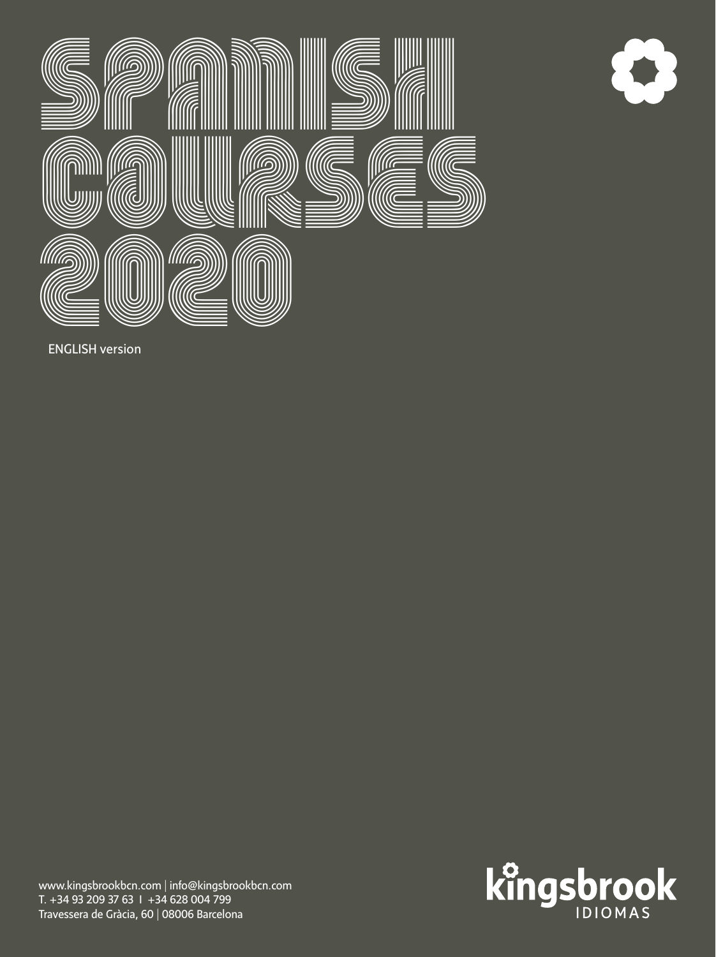



ENGLISH version

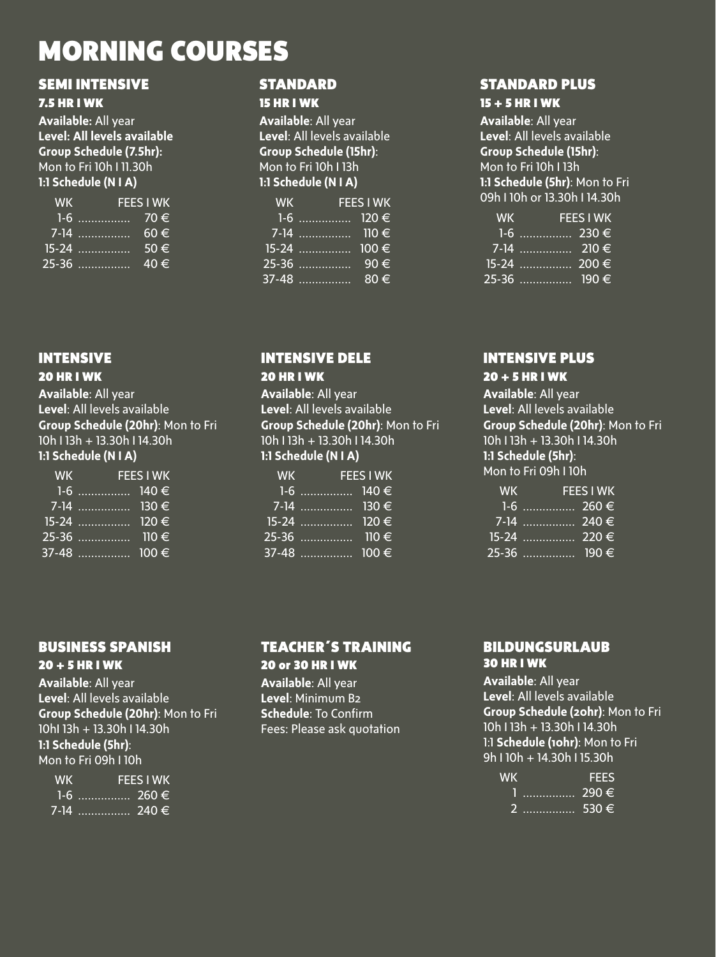## MORNING COURSES

## SEMI INTENSIVE

#### 7.5 HR I WK

**Available:** All year **Level: All levels available Group Schedule (7.5hr):**  Mon to Fri 10h I 11.30h **1:1 Schedule (N I A)**

| <b>WK</b> |         | <b>FEES I WK</b> |
|-----------|---------|------------------|
|           | $1-6$   | $70 \in$         |
|           |         | $60 \in$         |
|           |         | $50 \in$         |
|           | $25-36$ | $40 \in$         |

## **INTENSIVE**

### 20 HR I WK

**Available**: All year **Level**: All levels available **Group Schedule (20hr)**: Mon to Fri 10h I 13h + 13.30h I 14.30h **1:1 Schedule (N I A)**

| <b>WK</b> | <b>FEES I WK</b> |  |
|-----------|------------------|--|
|           |                  |  |
|           | 7-14  130 €      |  |
|           |                  |  |
|           |                  |  |
|           |                  |  |

## BUSINESS SPANISH

#### 20 + 5 HR I WK

**Available**: All year **Level**: All levels available **Group Schedule (20hr)**: Mon to Fri 10hI 13h + 13.30h I 14.30h **1:1 Schedule (5hr)**: Mon to Fri 09h I 10h

| <b>WK</b> | <b>FEES I WK</b> |
|-----------|------------------|
|           | 1-6  260 €       |
|           |                  |

#### **STANDARD** 15 HR I WK

**Available**: All year **Level**: All levels available **Group Schedule (15hr)**: Mon to Fri 10h I 13h **1:1 Schedule (N I A)**

| <b>WK</b> | <b>FEES I WK</b> |          |
|-----------|------------------|----------|
|           | 1-6  120 €       |          |
|           | 7-14  110 €      |          |
|           |                  |          |
|           | $25-36$          | 90€      |
|           | 37-48            | $80 \in$ |

## INTENSIVE DELE

#### 20 HR I WK

**Available**: All year **Level**: All levels available **Group Schedule (20hr)**: Mon to Fri 10h I 13h + 13.30h I 14.30h **1:1 Schedule (N I A)**

| <b>WK</b> | <b>FEES I WK</b> |                      |
|-----------|------------------|----------------------|
|           | 1-6  140 $\in$   |                      |
|           |                  |                      |
|           |                  |                      |
|           |                  | $\overline{110} \in$ |
|           |                  |                      |

## TEACHER´S TRAINING 20 or 30 HR I WK

**Available**: All year **Level**: Minimum B2 **Schedule**: To Confirm Fees: Please ask quotation

## STANDARD PLUS

### 15 + 5 HR I WK

**Available**: All year **Level**: All levels available **Group Schedule (15hr)**: Mon to Fri 10h I 13h **1:1 Schedule (5hr)**: Mon to Fri 09h I 10h or 13.30h I 14.30h

| <b>WK</b> | <b>FEES I WK</b> |
|-----------|------------------|
|           |                  |
|           |                  |
|           |                  |
|           |                  |

#### INTENSIVE PLUS

#### 20 + 5 HR I WK

**Available**: All year **Level**: All levels available **Group Schedule (20hr)**: Mon to Fri 10h I 13h + 13.30h I 14.30h **1:1 Schedule (5hr)**: Mon to Fri 09h I 10h

| <b>WK</b> |              | <b>FEES I WK</b> |
|-----------|--------------|------------------|
|           |              |                  |
|           | 7-14  240 €  |                  |
|           |              |                  |
|           | 25-36  190 € |                  |

#### BILDUNGSURLAUB 30 HR I WK

**Available**: All year **Level**: All levels available **Group Schedule (20hr)**: Mon to Fri 10h I 13h + 13.30h I 14.30h 1:1 **Schedule (10hr)**: Mon to Fri 9h I 10h + 14.30h I 15.30h

| <b>WK</b> |              | ----    |
|-----------|--------------|---------|
|           | <del>.</del> | ։ 290 € |
|           | …………… 530 €  |         |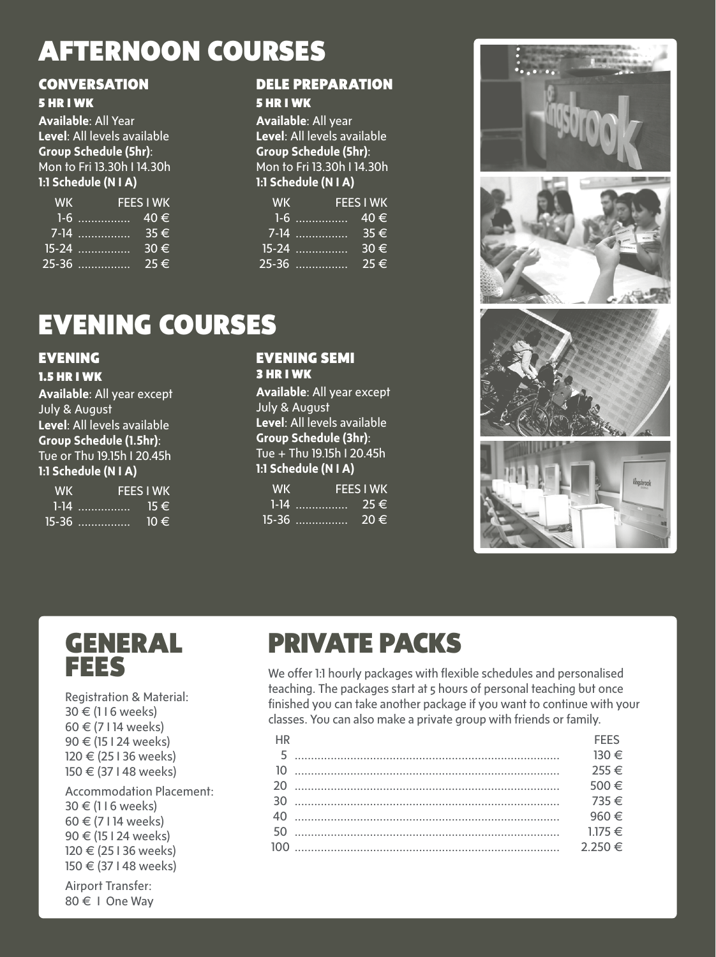## AFTERNOON COURSES

## **CONVERSATION**

## 5 HR I WK

**Available**: All Year **Level**: All levels available **Group Schedule (5hr)**: Mon to Fri 13.30h I 14.30h **1:1 Schedule (N I A)**

| <b>WK</b> | <b>FEES I WK</b> |             |
|-----------|------------------|-------------|
|           | 1-6              | $40 \in$    |
|           |                  | 35€         |
|           |                  | $30 \notin$ |
|           | 25-36            | $25 \in$    |

#### DELE PREPARATION 5 HR I WK

**Available**: All year **Level**: All levels available **Group Schedule (5hr)**: Mon to Fri 13.30h I 14.30h **1:1 Schedule (N I A)**

| <b>WK</b> | <b>FEES I WK</b>                   |          |
|-----------|------------------------------------|----------|
|           | $1-6$ . The second state of $\sim$ | 40€      |
|           | 7-14                               | $35 \in$ |
|           | $15-24$                            | 30€      |
|           |                                    | $75 \in$ |

# EVENING COURSES

#### EVENING 1.5 HR I WK

**Available**: All year except July & August **Level**: All levels available **Group Schedule (1.5hr)**: Tue or Thu 19.15h I 20.45h **1:1 Schedule (N I A)**

| <b>WK</b> | <b>FFFS I WK</b>         |          |
|-----------|--------------------------|----------|
|           | $1-14$                   | $15 \in$ |
|           | <u>15-36</u> <del></del> | $10 \in$ |

#### EVENING SEMI 3 HR I WK

**Available**: All year except July & August **Level**: All levels available **Group Schedule (3hr)**: Tue + Thu 19.15h I 20.45h **1:1 Schedule (N I A)**

| <b>WK</b> |                          | <b>FEES I WK</b> |
|-----------|--------------------------|------------------|
|           | $1 - 14$                 | $75 \in$         |
|           | <u>15-36</u> <del></del> | .20 €            |











Registration & Material: 30 € (1 I 6 weeks) 60 € (7 I 14 weeks) 90 € (15 I 24 weeks) 120 € (25 I 36 weeks) 150 € (37 I 48 weeks)

Accommodation Placement: 30 € (1 I 6 weeks) 60 € (7 I 14 weeks) 90 € (15 I 24 weeks) 120 € (25 I 36 weeks) 150 € (37 I 48 weeks)

Airport Transfer: 80 € I One Way

# PRIVATE PACKS

We offer 1:1 hourly packages with flexible schedules and personalised teaching. The packages start at 5 hours of personal teaching but once finished you can take another package if you want to continue with your classes. You can also make a private group with friends or family.

| <b>HR</b> | <b>FFFS</b> |
|-----------|-------------|
|           |             |
|           | $255 \in$   |
|           | 500€        |
|           |             |
|           | 960 €       |
|           |             |
|           |             |
|           |             |